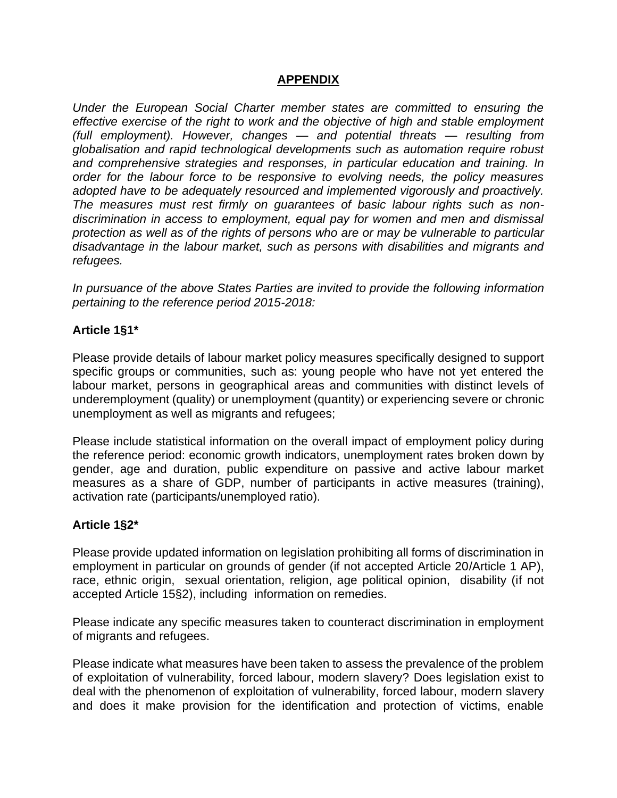## **APPENDIX**

*Under the European Social Charter member states are committed to ensuring the effective exercise of the right to work and the objective of high and stable employment (full employment). However, changes — and potential threats — resulting from globalisation and rapid technological developments such as automation require robust and comprehensive strategies and responses, in particular education and training. In order for the labour force to be responsive to evolving needs, the policy measures adopted have to be adequately resourced and implemented vigorously and proactively. The measures must rest firmly on guarantees of basic labour rights such as nondiscrimination in access to employment, equal pay for women and men and dismissal protection as well as of the rights of persons who are or may be vulnerable to particular disadvantage in the labour market, such as persons with disabilities and migrants and refugees.*

*In pursuance of the above States Parties are invited to provide the following information pertaining to the reference period 2015-2018:*

#### **Article 1§1\***

Please provide details of labour market policy measures specifically designed to support specific groups or communities, such as: young people who have not yet entered the labour market, persons in geographical areas and communities with distinct levels of underemployment (quality) or unemployment (quantity) or experiencing severe or chronic unemployment as well as migrants and refugees;

Please include statistical information on the overall impact of employment policy during the reference period: economic growth indicators, unemployment rates broken down by gender, age and duration, public expenditure on passive and active labour market measures as a share of GDP, number of participants in active measures (training), activation rate (participants/unemployed ratio).

#### **Article 1§2\***

Please provide updated information on legislation prohibiting all forms of discrimination in employment in particular on grounds of gender (if not accepted Article 20/Article 1 AP), race, ethnic origin, sexual orientation, religion, age political opinion, disability (if not accepted Article 15§2), including information on remedies.

Please indicate any specific measures taken to counteract discrimination in employment of migrants and refugees.

Please indicate what measures have been taken to assess the prevalence of the problem of exploitation of vulnerability, forced labour, modern slavery? Does legislation exist to deal with the phenomenon of exploitation of vulnerability, forced labour, modern slavery and does it make provision for the identification and protection of victims, enable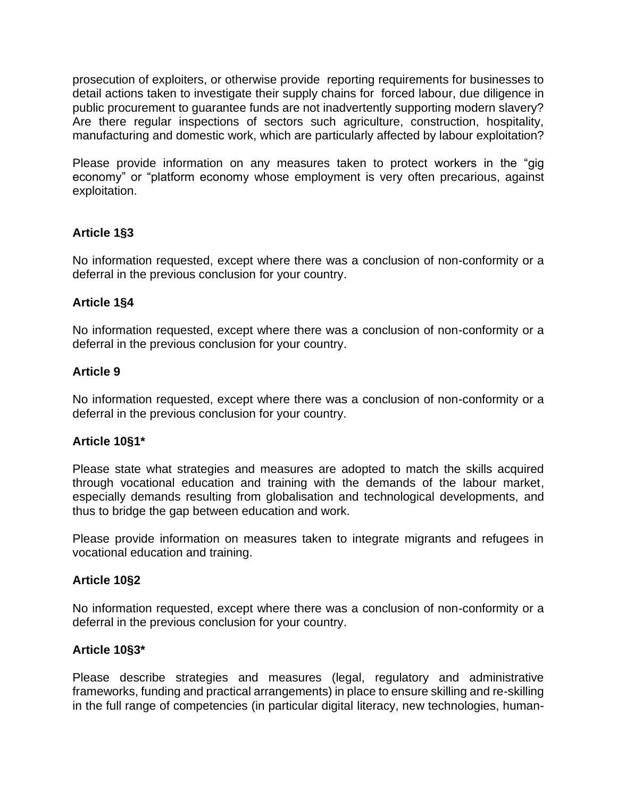prosecution of exploiters, or otherwise provide reporting requirements for businesses to detail actions taken to investigate their supply chains for forced labour, due diligence in public procurement to guarantee funds are not inadvertently supporting modern slavery? Are there regular inspections of sectors such agriculture, construction, hospitality, manufacturing and domestic work, which are particularly affected by labour exploitation?

Please provide information on any measures taken to protect workers in the "gig economy" or "platform economy whose employment is very often precarious, against exploitation.

# **Article 1§3**

No information requested, except where there was a conclusion of non-conformity or a deferral in the previous conclusion for your country.

#### **Article 1§4**

No information requested, except where there was a conclusion of non-conformity or a deferral in the previous conclusion for your country.

## **Article 9**

No information requested, except where there was a conclusion of non-conformity or a deferral in the previous conclusion for your country.

#### **Article 10§1\***

Please state what strategies and measures are adopted to match the skills acquired through vocational education and training with the demands of the labour market, especially demands resulting from globalisation and technological developments, and thus to bridge the gap between education and work.

Please provide information on measures taken to integrate migrants and refugees in vocational education and training.

#### **Article 10§2**

No information requested, except where there was a conclusion of non-conformity or a deferral in the previous conclusion for your country.

#### **Article 10§3\***

Please describe strategies and measures (legal, regulatory and administrative frameworks, funding and practical arrangements) in place to ensure skilling and re-skilling in the full range of competencies (in particular digital literacy, new technologies, human-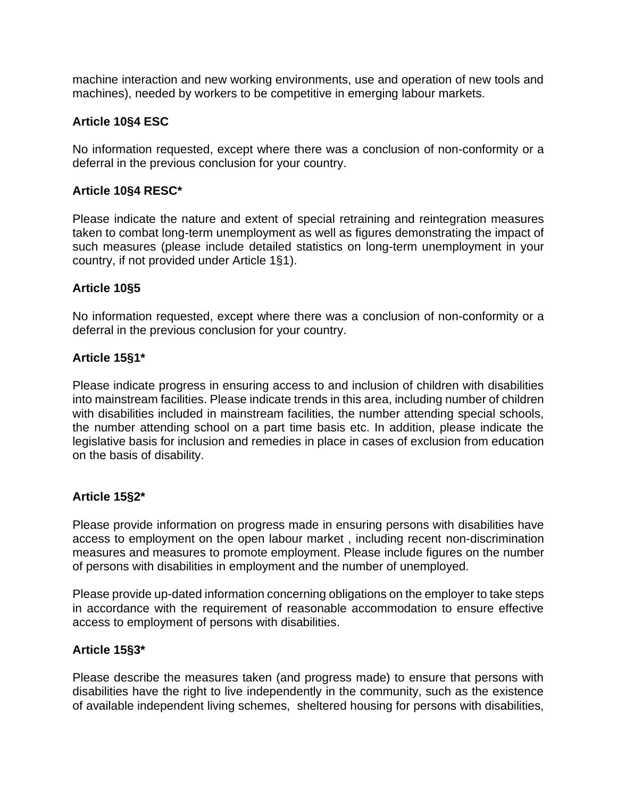machine interaction and new working environments, use and operation of new tools and machines), needed by workers to be competitive in emerging labour markets.

### **Article 10§4 ESC**

No information requested, except where there was a conclusion of non-conformity or a deferral in the previous conclusion for your country.

### **Article 10§4 RESC\***

Please indicate the nature and extent of special retraining and reintegration measures taken to combat long-term unemployment as well as figures demonstrating the impact of such measures (please include detailed statistics on long-term unemployment in your country, if not provided under Article 1§1).

#### **Article 10§5**

No information requested, except where there was a conclusion of non-conformity or a deferral in the previous conclusion for your country.

#### **Article 15§1\***

Please indicate progress in ensuring access to and inclusion of children with disabilities into mainstream facilities. Please indicate trends in this area, including number of children with disabilities included in mainstream facilities, the number attending special schools, the number attending school on a part time basis etc. In addition, please indicate the legislative basis for inclusion and remedies in place in cases of exclusion from education on the basis of disability.

#### **Article 15§2\***

Please provide information on progress made in ensuring persons with disabilities have access to employment on the open labour market , including recent non-discrimination measures and measures to promote employment. Please include figures on the number of persons with disabilities in employment and the number of unemployed.

Please provide up-dated information concerning obligations on the employer to take steps in accordance with the requirement of reasonable accommodation to ensure effective access to employment of persons with disabilities.

#### **Article 15§3\***

Please describe the measures taken (and progress made) to ensure that persons with disabilities have the right to live independently in the community, such as the existence of available independent living schemes, sheltered housing for persons with disabilities,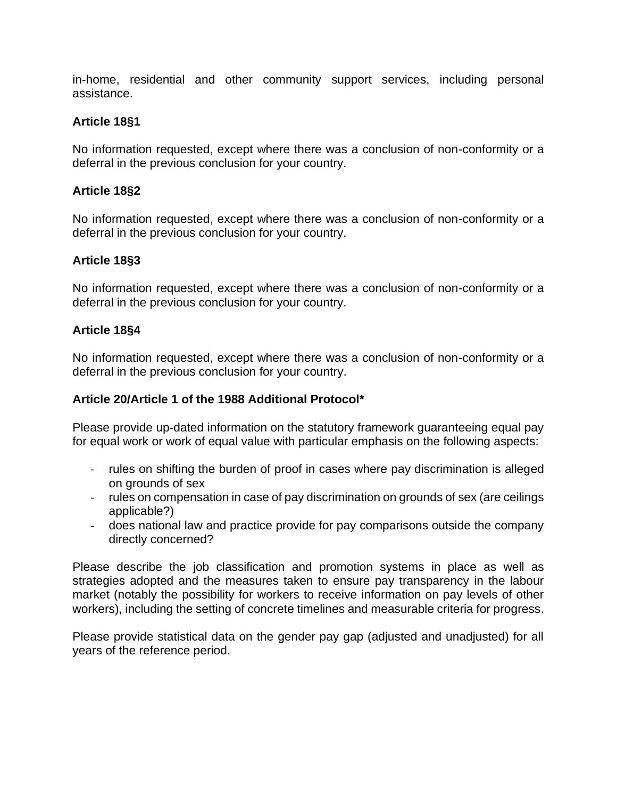in-home, residential and other community support services, including personal assistance.

## **Article 18§1**

No information requested, except where there was a conclusion of non-conformity or a deferral in the previous conclusion for your country.

### **Article 18§2**

No information requested, except where there was a conclusion of non-conformity or a deferral in the previous conclusion for your country.

## **Article 18§3**

No information requested, except where there was a conclusion of non-conformity or a deferral in the previous conclusion for your country.

#### **Article 18§4**

No information requested, except where there was a conclusion of non-conformity or a deferral in the previous conclusion for your country.

#### **Article 20/Article 1 of the 1988 Additional Protocol\***

Please provide up-dated information on the statutory framework guaranteeing equal pay for equal work or work of equal value with particular emphasis on the following aspects:

- rules on shifting the burden of proof in cases where pay discrimination is alleged on grounds of sex
- rules on compensation in case of pay discrimination on grounds of sex (are ceilings applicable?)
- does national law and practice provide for pay comparisons outside the company directly concerned?

Please describe the job classification and promotion systems in place as well as strategies adopted and the measures taken to ensure pay transparency in the labour market (notably the possibility for workers to receive information on pay levels of other workers), including the setting of concrete timelines and measurable criteria for progress.

Please provide statistical data on the gender pay gap (adjusted and unadjusted) for all years of the reference period.